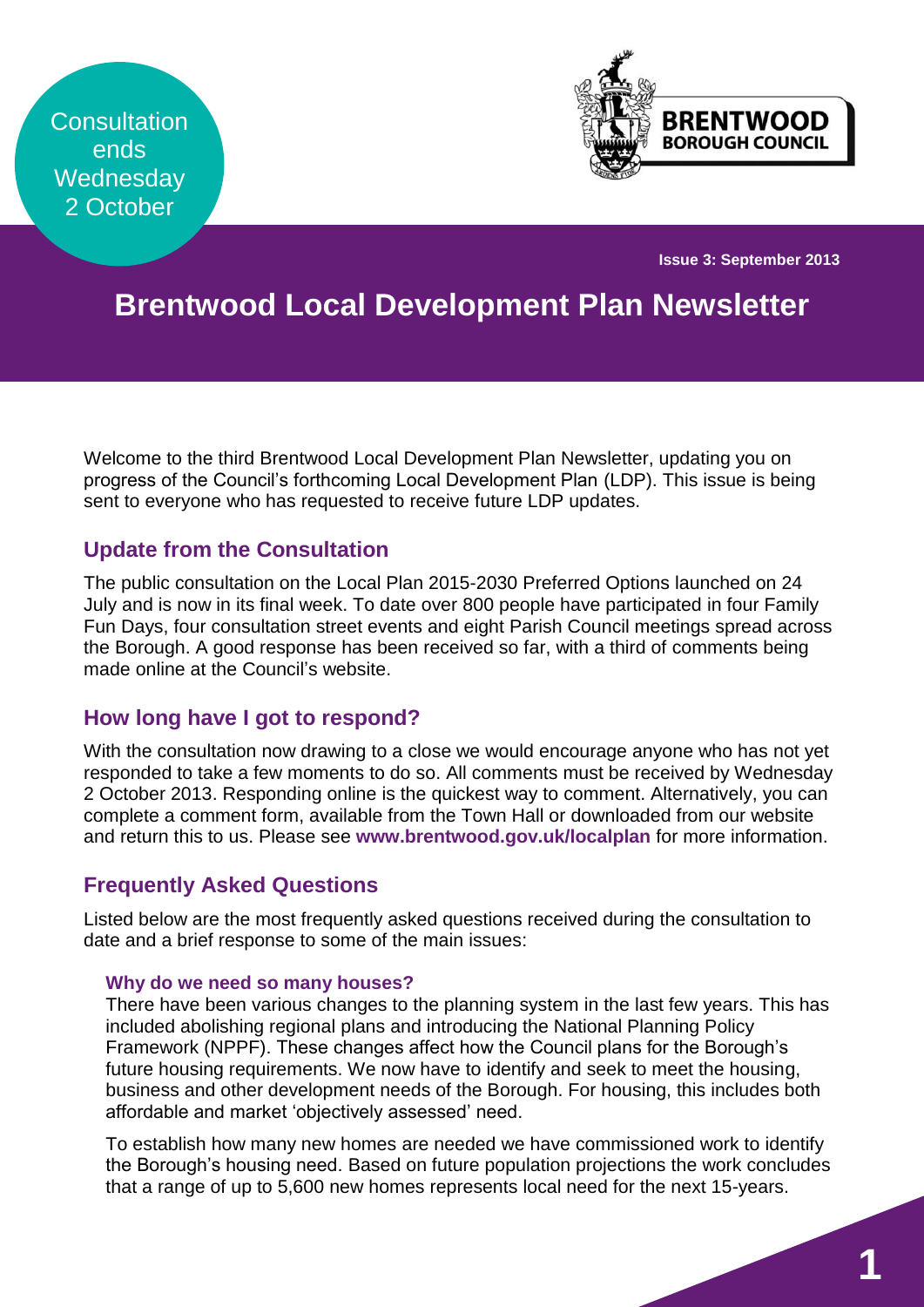**Consultation** ends **Wednesday** 2 October



**Issue 3: September 2013**

# **Brentwood Local Development Plan Newsletter**

Welcome to the third Brentwood Local Development Plan Newsletter, updating you on progress of the Council's forthcoming Local Development Plan (LDP). This issue is being sent to everyone who has requested to receive future LDP updates.

## **Update from the Consultation**

The public consultation on the Local Plan 2015-2030 Preferred Options launched on 24 July and is now in its final week. To date over 800 people have participated in four Family Fun Days, four consultation street events and eight Parish Council meetings spread across the Borough. A good response has been received so far, with a third of comments being made online at the Council's website.

## **How long have I got to respond?**

With the consultation now drawing to a close we would encourage anyone who has not yet responded to take a few moments to do so. All comments must be received by Wednesday 2 October 2013. Responding online is the quickest way to comment. Alternatively, you can complete a comment form, available from the Town Hall or downloaded from our website and return this to us. Please see **[www.brentwood.gov.uk/localplan](http://www.brentwood.gov.uk/localplan)** for more information.

## **Frequently Asked Questions**

Listed below are the most frequently asked questions received during the consultation to date and a brief response to some of the main issues:

#### **Why do we need so many houses?**

There have been various changes to the planning system in the last few years. This has included abolishing regional plans and introducing the National Planning Policy Framework (NPPF). These changes affect how the Council plans for the Borough's future housing requirements. We now have to identify and seek to meet the housing, business and other development needs of the Borough. For housing, this includes both affordable and market 'objectively assessed' need.

To establish how many new homes are needed we have commissioned work to identify the Borough's housing need. Based on future population projections the work concludes that a range of up to 5,600 new homes represents local need for the next 15-years.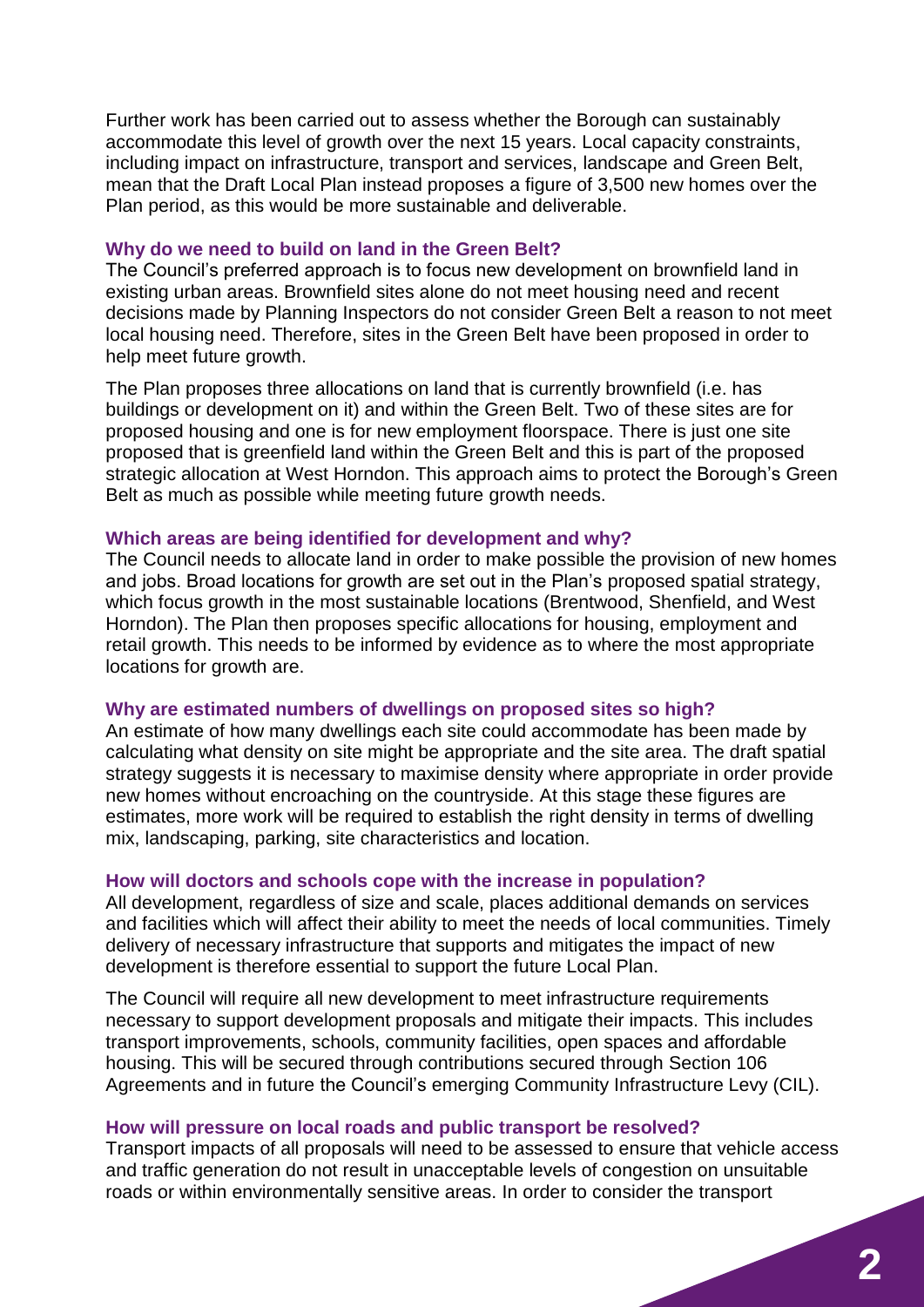Further work has been carried out to assess whether the Borough can sustainably accommodate this level of growth over the next 15 years. Local capacity constraints, including impact on infrastructure, transport and services, landscape and Green Belt, mean that the Draft Local Plan instead proposes a figure of 3,500 new homes over the Plan period, as this would be more sustainable and deliverable.

#### **Why do we need to build on land in the Green Belt?**

The Council's preferred approach is to focus new development on brownfield land in existing urban areas. Brownfield sites alone do not meet housing need and recent decisions made by Planning Inspectors do not consider Green Belt a reason to not meet local housing need. Therefore, sites in the Green Belt have been proposed in order to help meet future growth.

The Plan proposes three allocations on land that is currently brownfield (i.e. has buildings or development on it) and within the Green Belt. Two of these sites are for proposed housing and one is for new employment floorspace. There is just one site proposed that is greenfield land within the Green Belt and this is part of the proposed strategic allocation at West Horndon. This approach aims to protect the Borough's Green Belt as much as possible while meeting future growth needs.

#### **Which areas are being identified for development and why?**

The Council needs to allocate land in order to make possible the provision of new homes and jobs. Broad locations for growth are set out in the Plan's proposed spatial strategy, which focus growth in the most sustainable locations (Brentwood, Shenfield, and West Horndon). The Plan then proposes specific allocations for housing, employment and retail growth. This needs to be informed by evidence as to where the most appropriate locations for growth are.

### **Why are estimated numbers of dwellings on proposed sites so high?**

An estimate of how many dwellings each site could accommodate has been made by calculating what density on site might be appropriate and the site area. The draft spatial strategy suggests it is necessary to maximise density where appropriate in order provide new homes without encroaching on the countryside. At this stage these figures are estimates, more work will be required to establish the right density in terms of dwelling mix, landscaping, parking, site characteristics and location.

### **How will doctors and schools cope with the increase in population?**

All development, regardless of size and scale, places additional demands on services and facilities which will affect their ability to meet the needs of local communities. Timely delivery of necessary infrastructure that supports and mitigates the impact of new development is therefore essential to support the future Local Plan.

The Council will require all new development to meet infrastructure requirements necessary to support development proposals and mitigate their impacts. This includes transport improvements, schools, community facilities, open spaces and affordable housing. This will be secured through contributions secured through Section 106 Agreements and in future the Council's emerging Community Infrastructure Levy (CIL).

#### **How will pressure on local roads and public transport be resolved?**

Transport impacts of all proposals will need to be assessed to ensure that vehicle access and traffic generation do not result in unacceptable levels of congestion on unsuitable roads or within environmentally sensitive areas. In order to consider the transport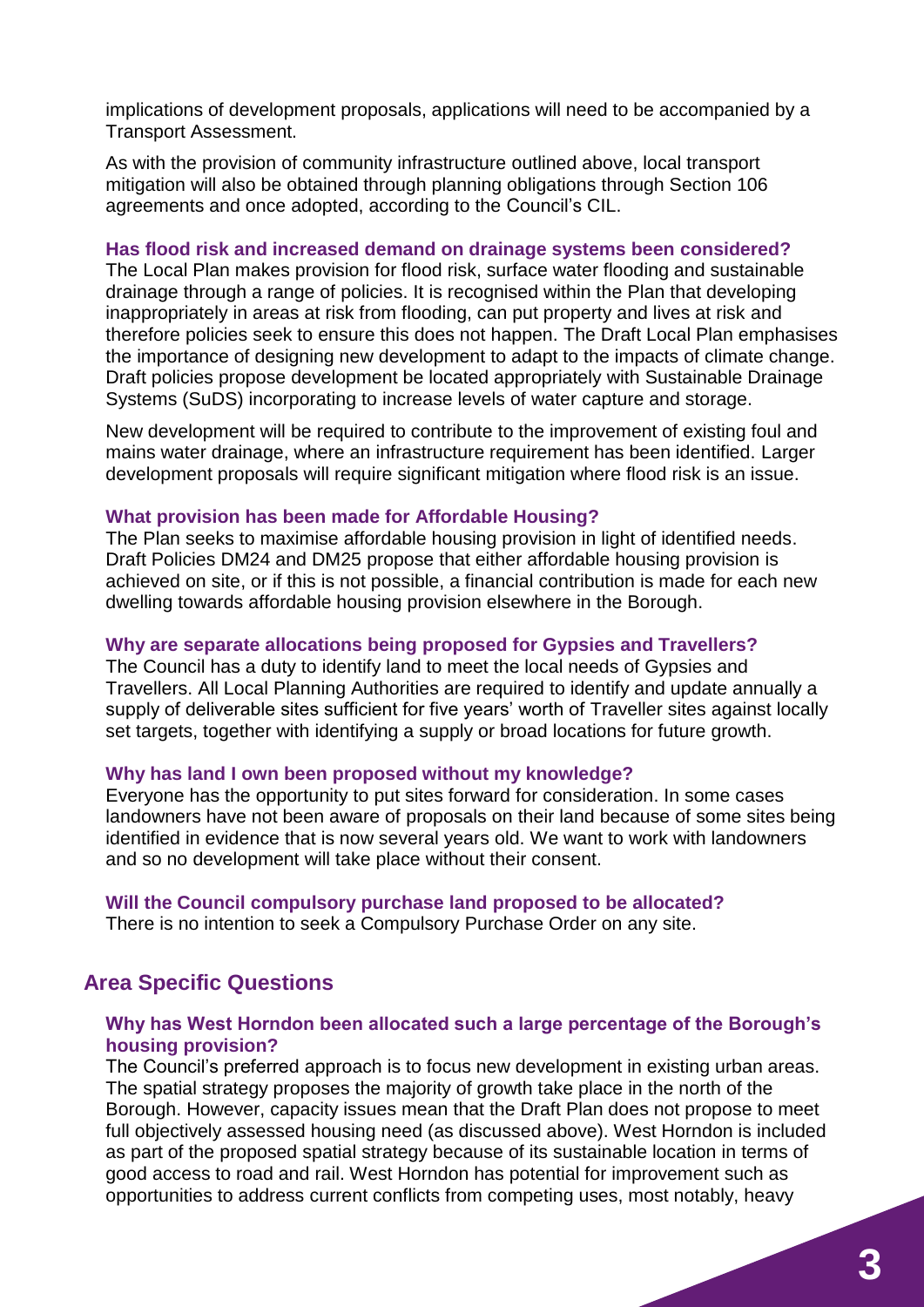implications of development proposals, applications will need to be accompanied by a Transport Assessment.

As with the provision of community infrastructure outlined above, local transport mitigation will also be obtained through planning obligations through Section 106 agreements and once adopted, according to the Council's CIL.

#### **Has flood risk and increased demand on drainage systems been considered?**

The Local Plan makes provision for flood risk, surface water flooding and sustainable drainage through a range of policies. It is recognised within the Plan that developing inappropriately in areas at risk from flooding, can put property and lives at risk and therefore policies seek to ensure this does not happen. The Draft Local Plan emphasises the importance of designing new development to adapt to the impacts of climate change. Draft policies propose development be located appropriately with Sustainable Drainage Systems (SuDS) incorporating to increase levels of water capture and storage.

New development will be required to contribute to the improvement of existing foul and mains water drainage, where an infrastructure requirement has been identified. Larger development proposals will require significant mitigation where flood risk is an issue.

#### **What provision has been made for Affordable Housing?**

The Plan seeks to maximise affordable housing provision in light of identified needs. Draft Policies DM24 and DM25 propose that either affordable housing provision is achieved on site, or if this is not possible, a financial contribution is made for each new dwelling towards affordable housing provision elsewhere in the Borough.

#### **Why are separate allocations being proposed for Gypsies and Travellers?**

The Council has a duty to identify land to meet the local needs of Gypsies and Travellers. All Local Planning Authorities are required to identify and update annually a supply of deliverable sites sufficient for five years' worth of Traveller sites against locally set targets, together with identifying a supply or broad locations for future growth.

#### **Why has land I own been proposed without my knowledge?**

Everyone has the opportunity to put sites forward for consideration. In some cases landowners have not been aware of proposals on their land because of some sites being identified in evidence that is now several years old. We want to work with landowners and so no development will take place without their consent.

#### **Will the Council compulsory purchase land proposed to be allocated?**

There is no intention to seek a Compulsory Purchase Order on any site.

## **Area Specific Questions**

### **Why has West Horndon been allocated such a large percentage of the Borough's housing provision?**

The Council's preferred approach is to focus new development in existing urban areas. The spatial strategy proposes the majority of growth take place in the north of the Borough. However, capacity issues mean that the Draft Plan does not propose to meet full objectively assessed housing need (as discussed above). West Horndon is included as part of the proposed spatial strategy because of its sustainable location in terms of good access to road and rail. West Horndon has potential for improvement such as opportunities to address current conflicts from competing uses, most notably, heavy